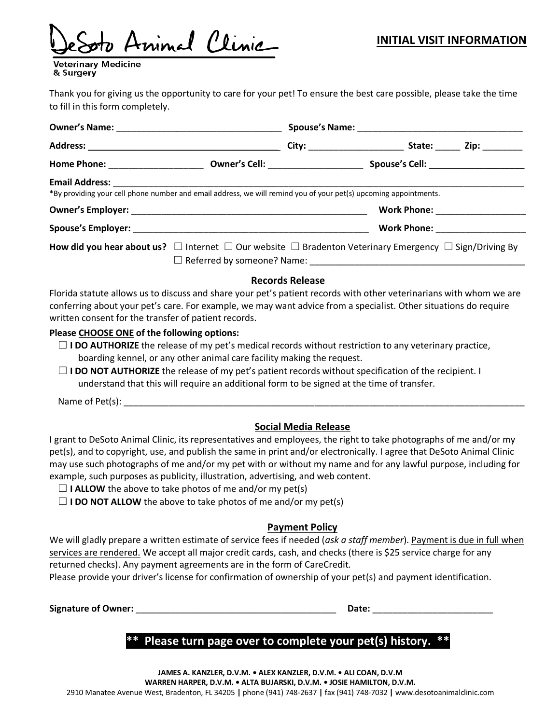Animal Clinic

Veterinary Medicine & Surgery

Thank you for giving us the opportunity to care for your pet! To ensure the best care possible, please take the time to fill in this form completely.

|                                                                                                                                             |  |  | City: _________________________ |  | State: <b>Zip:</b> _______            |
|---------------------------------------------------------------------------------------------------------------------------------------------|--|--|---------------------------------|--|---------------------------------------|
|                                                                                                                                             |  |  |                                 |  |                                       |
| Email Address: No. 1994<br>*By providing your cell phone number and email address, we will remind you of your pet(s) upcoming appointments. |  |  |                                 |  |                                       |
|                                                                                                                                             |  |  |                                 |  | <b>Work Phone: __________________</b> |
|                                                                                                                                             |  |  |                                 |  | <b>Work Phone:</b> Work Phone:        |
| How did you hear about us? $\Box$ Internet $\Box$ Our website $\Box$ Bradenton Veterinary Emergency $\Box$ Sign/Driving By                  |  |  |                                 |  |                                       |
|                                                                                                                                             |  |  |                                 |  |                                       |

#### **Records Release**

Florida statute allows us to discuss and share your pet's patient records with other veterinarians with whom we are conferring about your pet's care. For example, we may want advice from a specialist. Other situations do require written consent for the transfer of patient records.

#### **Please CHOOSE ONE of the following options:**

- □ **I DO AUTHORIZE** the release of my pet's medical records without restriction to any veterinary practice, boarding kennel, or any other animal care facility making the request.
- ☐ **I DO NOT AUTHORIZE** the release of my pet's patient records without specification of the recipient. I understand that this will require an additional form to be signed at the time of transfer.

Name of Pet(s):

### **Social Media Release**

I grant to DeSoto Animal Clinic, its representatives and employees, the right to take photographs of me and/or my pet(s), and to copyright, use, and publish the same in print and/or electronically. I agree that DeSoto Animal Clinic may use such photographs of me and/or my pet with or without my name and for any lawful purpose, including for example, such purposes as publicity, illustration, advertising, and web content.

- $\Box$  **I ALLOW** the above to take photos of me and/or my pet(s)
- $\Box$  **I DO NOT ALLOW** the above to take photos of me and/or my pet(s)

### **Payment Policy**

We will gladly prepare a written estimate of service fees if needed (*ask a staff member*). Payment is due in full when services are rendered. We accept all major credit cards, cash, and checks (there is \$25 service charge for any returned checks). Any payment agreements are in the form of CareCredit.

Please provide your driver's license for confirmation of ownership of your pet(s) and payment identification.

**Signature of Owner:** \_\_\_\_\_\_\_\_\_\_\_\_\_\_\_\_\_\_\_\_\_\_\_\_\_\_\_\_\_\_\_\_\_\_\_\_\_\_\_\_ **Date:** \_\_\_\_\_\_\_\_\_\_\_\_\_\_\_\_\_\_\_\_\_\_\_\_

# Please turn page over to complete your pet(s) history.

**JAMES A. KANZLER, D.V.M. • ALEX KANZLER, D.V.M. • ALI COAN, D.V.M WARREN HARPER, D.V.M. • ALTA BUJARSKI, D.V.M. • JOSIE HAMILTON, D.V.M.** 2910 Manatee Avenue West, Bradenton, FL 34205 **|** phone (941) 748-2637 **|** fax (941) 748-7032 **|** www.desotoanimalclinic.com